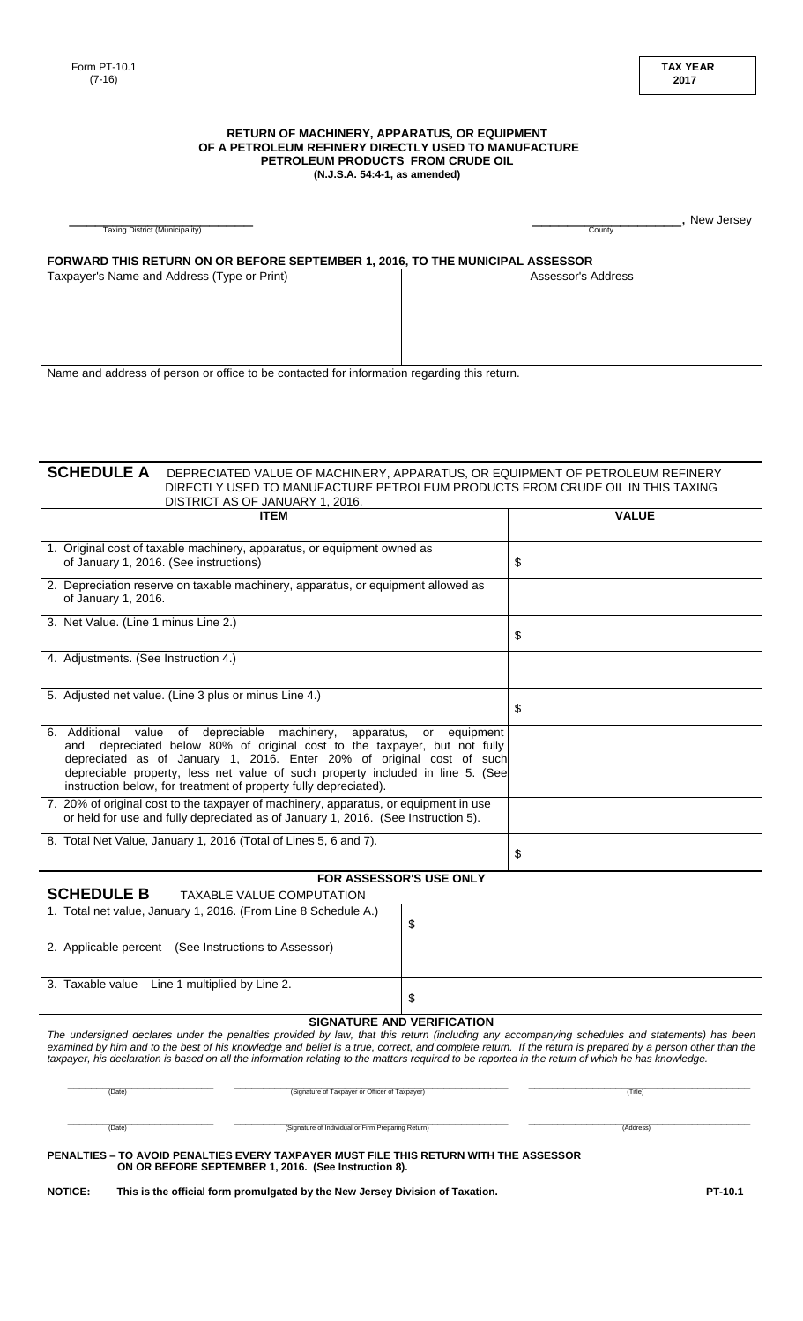#### **RETURN OF MACHINERY, APPARATUS, OR EQUIPMENT OF A PETROLEUM REFINERY DIRECTLY USED TO MANUFACTURE PETROLEUM PRODUCTS FROM CRUDE OIL (N.J.S.A. 54:4-1, as amended)**

| <b>Taxing District (Municipality)</b>                                                                   |                                                                                                                                                                                                                                                                                                                                                                                                                                                                  |                                   | County             | , New Jersey |
|---------------------------------------------------------------------------------------------------------|------------------------------------------------------------------------------------------------------------------------------------------------------------------------------------------------------------------------------------------------------------------------------------------------------------------------------------------------------------------------------------------------------------------------------------------------------------------|-----------------------------------|--------------------|--------------|
|                                                                                                         | FORWARD THIS RETURN ON OR BEFORE SEPTEMBER 1, 2016, TO THE MUNICIPAL ASSESSOR                                                                                                                                                                                                                                                                                                                                                                                    |                                   |                    |              |
| Taxpayer's Name and Address (Type or Print)                                                             |                                                                                                                                                                                                                                                                                                                                                                                                                                                                  |                                   | Assessor's Address |              |
|                                                                                                         |                                                                                                                                                                                                                                                                                                                                                                                                                                                                  |                                   |                    |              |
|                                                                                                         |                                                                                                                                                                                                                                                                                                                                                                                                                                                                  |                                   |                    |              |
|                                                                                                         |                                                                                                                                                                                                                                                                                                                                                                                                                                                                  |                                   |                    |              |
|                                                                                                         | Name and address of person or office to be contacted for information regarding this return.                                                                                                                                                                                                                                                                                                                                                                      |                                   |                    |              |
|                                                                                                         |                                                                                                                                                                                                                                                                                                                                                                                                                                                                  |                                   |                    |              |
|                                                                                                         |                                                                                                                                                                                                                                                                                                                                                                                                                                                                  |                                   |                    |              |
|                                                                                                         |                                                                                                                                                                                                                                                                                                                                                                                                                                                                  |                                   |                    |              |
|                                                                                                         |                                                                                                                                                                                                                                                                                                                                                                                                                                                                  |                                   |                    |              |
| <b>SCHEDULE A</b>                                                                                       | DEPRECIATED VALUE OF MACHINERY, APPARATUS, OR EQUIPMENT OF PETROLEUM REFINERY<br>DIRECTLY USED TO MANUFACTURE PETROLEUM PRODUCTS FROM CRUDE OIL IN THIS TAXING                                                                                                                                                                                                                                                                                                   |                                   |                    |              |
|                                                                                                         | DISTRICT AS OF JANUARY 1, 2016.                                                                                                                                                                                                                                                                                                                                                                                                                                  |                                   |                    |              |
|                                                                                                         | <b>ITEM</b>                                                                                                                                                                                                                                                                                                                                                                                                                                                      |                                   | <b>VALUE</b>       |              |
| 1. Original cost of taxable machinery, apparatus, or equipment owned as                                 |                                                                                                                                                                                                                                                                                                                                                                                                                                                                  |                                   |                    |              |
| of January 1, 2016. (See instructions)                                                                  |                                                                                                                                                                                                                                                                                                                                                                                                                                                                  |                                   | \$                 |              |
| 2. Depreciation reserve on taxable machinery, apparatus, or equipment allowed as<br>of January 1, 2016. |                                                                                                                                                                                                                                                                                                                                                                                                                                                                  |                                   |                    |              |
| 3. Net Value. (Line 1 minus Line 2.)                                                                    |                                                                                                                                                                                                                                                                                                                                                                                                                                                                  |                                   |                    |              |
|                                                                                                         |                                                                                                                                                                                                                                                                                                                                                                                                                                                                  |                                   | \$                 |              |
| 4. Adjustments. (See Instruction 4.)                                                                    |                                                                                                                                                                                                                                                                                                                                                                                                                                                                  |                                   |                    |              |
|                                                                                                         |                                                                                                                                                                                                                                                                                                                                                                                                                                                                  |                                   |                    |              |
| 5. Adjusted net value. (Line 3 plus or minus Line 4.)                                                   |                                                                                                                                                                                                                                                                                                                                                                                                                                                                  |                                   | \$                 |              |
| 6. Additional                                                                                           | value of depreciable machinery,<br>apparatus,                                                                                                                                                                                                                                                                                                                                                                                                                    | equipment<br>or                   |                    |              |
| and                                                                                                     | depreciated below 80% of original cost to the taxpayer, but not fully<br>depreciated as of January 1, 2016. Enter 20% of original cost of such                                                                                                                                                                                                                                                                                                                   |                                   |                    |              |
|                                                                                                         | depreciable property, less net value of such property included in line 5. (See                                                                                                                                                                                                                                                                                                                                                                                   |                                   |                    |              |
|                                                                                                         | instruction below, for treatment of property fully depreciated).<br>7. 20% of original cost to the taxpayer of machinery, apparatus, or equipment in use                                                                                                                                                                                                                                                                                                         |                                   |                    |              |
| or held for use and fully depreciated as of January 1, 2016. (See Instruction 5).                       |                                                                                                                                                                                                                                                                                                                                                                                                                                                                  |                                   |                    |              |
| 8. Total Net Value, January 1, 2016 (Total of Lines 5, 6 and 7).                                        |                                                                                                                                                                                                                                                                                                                                                                                                                                                                  |                                   |                    |              |
|                                                                                                         |                                                                                                                                                                                                                                                                                                                                                                                                                                                                  |                                   | \$                 |              |
| <b>SCHEDULE B</b>                                                                                       | <b>TAXABLE VALUE COMPUTATION</b>                                                                                                                                                                                                                                                                                                                                                                                                                                 | <b>FOR ASSESSOR'S USE ONLY</b>    |                    |              |
| 1. Total net value, January 1, 2016. (From Line 8 Schedule A.)                                          |                                                                                                                                                                                                                                                                                                                                                                                                                                                                  |                                   |                    |              |
|                                                                                                         |                                                                                                                                                                                                                                                                                                                                                                                                                                                                  | \$                                |                    |              |
| 2. Applicable percent - (See Instructions to Assessor)                                                  |                                                                                                                                                                                                                                                                                                                                                                                                                                                                  |                                   |                    |              |
|                                                                                                         | 3. Taxable value - Line 1 multiplied by Line 2.                                                                                                                                                                                                                                                                                                                                                                                                                  |                                   |                    |              |
| \$                                                                                                      |                                                                                                                                                                                                                                                                                                                                                                                                                                                                  |                                   |                    |              |
|                                                                                                         |                                                                                                                                                                                                                                                                                                                                                                                                                                                                  | <b>SIGNATURE AND VERIFICATION</b> |                    |              |
|                                                                                                         | The undersigned declares under the penalties provided by law, that this return (including any accompanying schedules and statements) has been<br>examined by him and to the best of his knowledge and belief is a true, correct, and complete return. If the return is prepared by a person other than the<br>taxpayer, his declaration is based on all the information relating to the matters required to be reported in the return of which he has knowledge. |                                   |                    |              |
| (Signature of Taxpayer or Officer of Taxpayer)<br>(Date)                                                |                                                                                                                                                                                                                                                                                                                                                                                                                                                                  |                                   | (Title)            |              |
|                                                                                                         |                                                                                                                                                                                                                                                                                                                                                                                                                                                                  |                                   |                    |              |
| (Date)                                                                                                  | (Signature of Individual or Firm Preparing Return)                                                                                                                                                                                                                                                                                                                                                                                                               |                                   | (Address)          |              |
|                                                                                                         | PENALTIES – TO AVOID PENALTIES EVERY TAXPAYER MUST FILE THIS RETURN WITH THE ASSESSOR<br>ON OR BEFORE SEPTEMBER 1, 2016. (See Instruction 8).                                                                                                                                                                                                                                                                                                                    |                                   |                    |              |

NOTICE: This is the official form promulgated by the New Jersey Division of Taxation.